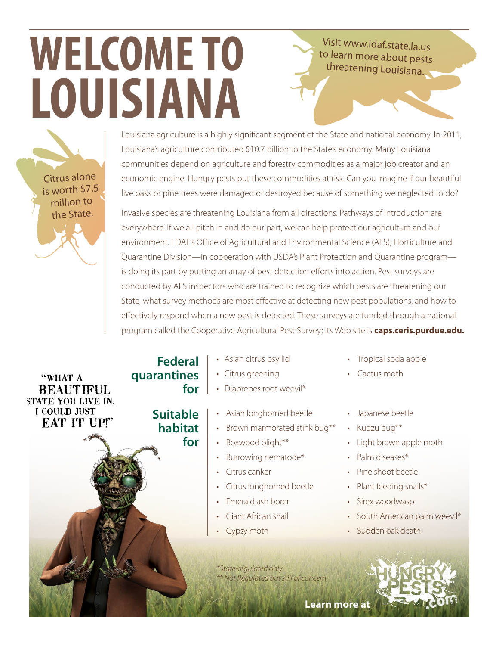## **WELCOME TO LOUISIANA**

Visit www.ldaf.state.la.us to learn more about pests threatening Louisiana.

Louisiana agriculture is a highly significant segment of the State and national economy. In 2011, Louisiana's agriculture contributed \$10.7 billion to the State's economy. Many Louisiana communities depend on agriculture and forestry commodities as a major job creator and an economic engine. Hungry pests put these commodities at risk. Can you imagine if our beautiful live oaks or pine trees were damaged or destroyed because of something we neglected to do?

Invasive species are threatening Louisiana from all directions. Pathways of introduction are everywhere. If we all pitch in and do our part, we can help protect our agriculture and our environment. LDAF's Office of Agricultural and Environmental Science (AES), Horticulture and Quarantine Division—in cooperation with USDA's Plant Protection and Quarantine program is doing its part by putting an array of pest detection efforts into action. Pest surveys are conducted by AES inspectors who are trained to recognize which pests are threatening our State, what survey methods are most effective at detecting new pest populations, and how to effectively respond when a new pest is detected. These surveys are funded through a national program called the Cooperative Agricultural Pest Survey; its Web site is **caps.ceris.purdue.edu.**

"WHAT A **BEAUTIFUL** STATE YOU LIVE IN. I COULD JUST **EAT IT UP!"** 

Citrus alone is worth \$7.5 million to the State.

- Asian citrus psyllid
- Citrus greening  **quarantines**

**Suitable habitat** 

**Federal**

**for**

**for**

- Diaprepes root weevil\*
	- Asian longhorned beetle
	- Brown marmorated stink bug\*\*
- 
- Boxwood blight\*\*
- Burrowing nematode\*
- Citrus canker
- Citrus longhorned beetle
- Emerald ash borer
- Giant African snail
- **Gypsy moth**
- Tropical soda apple
- Cactus moth
- Japanese beetle
- Kudzu bug\*\*
- Light brown apple moth
- Palm diseases\*
- Pine shoot beetle
- Plant feeding snails\*
- Sirex woodwasp
- South American palm weevil\*
- Sudden oak death

*\*State-regulated only \*\* Not Regulated but still of concern*

**Learn mor[e at](http://www.hungrypests.com)**